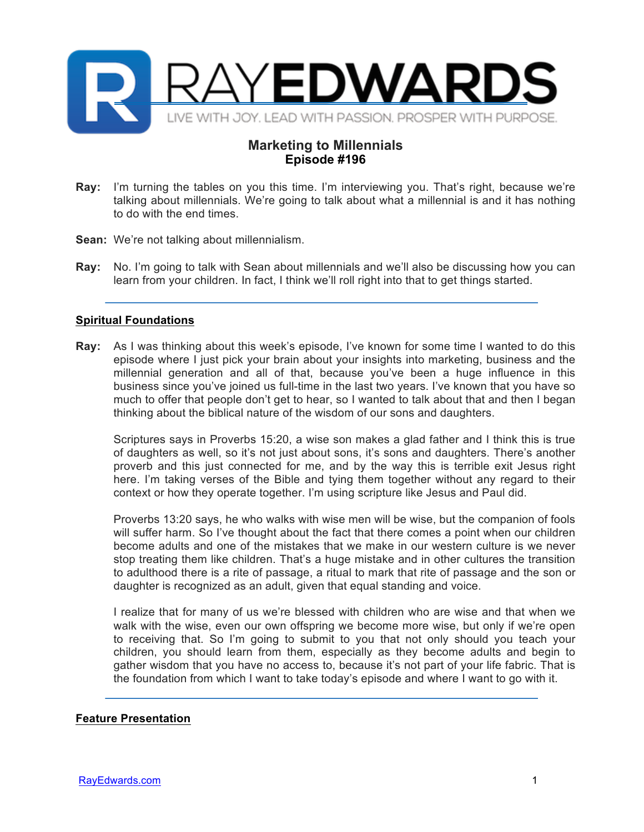

## **Marketing to Millennials Episode #196**

- **Ray:** I'm turning the tables on you this time. I'm interviewing you. That's right, because we're talking about millennials. We're going to talk about what a millennial is and it has nothing to do with the end times.
- **Sean:** We're not talking about millennialism.
- **Ray:** No. I'm going to talk with Sean about millennials and we'll also be discussing how you can learn from your children. In fact, I think we'll roll right into that to get things started.

## **Spiritual Foundations**

**Ray:** As I was thinking about this week's episode, I've known for some time I wanted to do this episode where I just pick your brain about your insights into marketing, business and the millennial generation and all of that, because you've been a huge influence in this business since you've joined us full-time in the last two years. I've known that you have so much to offer that people don't get to hear, so I wanted to talk about that and then I began thinking about the biblical nature of the wisdom of our sons and daughters.

Scriptures says in Proverbs 15:20, a wise son makes a glad father and I think this is true of daughters as well, so it's not just about sons, it's sons and daughters. There's another proverb and this just connected for me, and by the way this is terrible exit Jesus right here. I'm taking verses of the Bible and tying them together without any regard to their context or how they operate together. I'm using scripture like Jesus and Paul did.

Proverbs 13:20 says, he who walks with wise men will be wise, but the companion of fools will suffer harm. So I've thought about the fact that there comes a point when our children become adults and one of the mistakes that we make in our western culture is we never stop treating them like children. That's a huge mistake and in other cultures the transition to adulthood there is a rite of passage, a ritual to mark that rite of passage and the son or daughter is recognized as an adult, given that equal standing and voice.

I realize that for many of us we're blessed with children who are wise and that when we walk with the wise, even our own offspring we become more wise, but only if we're open to receiving that. So I'm going to submit to you that not only should you teach your children, you should learn from them, especially as they become adults and begin to gather wisdom that you have no access to, because it's not part of your life fabric. That is the foundation from which I want to take today's episode and where I want to go with it.

## **Feature Presentation**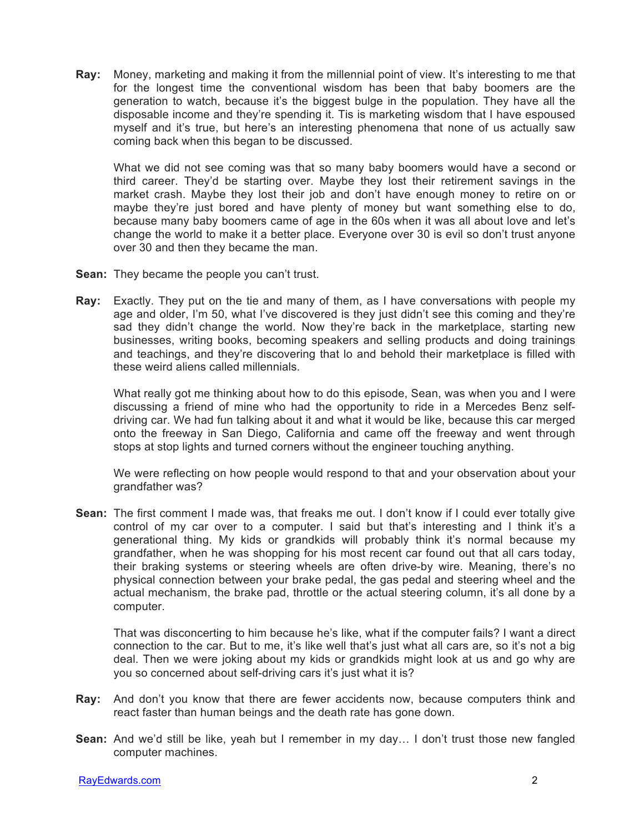**Ray:** Money, marketing and making it from the millennial point of view. It's interesting to me that for the longest time the conventional wisdom has been that baby boomers are the generation to watch, because it's the biggest bulge in the population. They have all the disposable income and they're spending it. Tis is marketing wisdom that I have espoused myself and it's true, but here's an interesting phenomena that none of us actually saw coming back when this began to be discussed.

What we did not see coming was that so many baby boomers would have a second or third career. They'd be starting over. Maybe they lost their retirement savings in the market crash. Maybe they lost their job and don't have enough money to retire on or maybe they're just bored and have plenty of money but want something else to do, because many baby boomers came of age in the 60s when it was all about love and let's change the world to make it a better place. Everyone over 30 is evil so don't trust anyone over 30 and then they became the man.

- **Sean:** They became the people you can't trust.
- **Ray:** Exactly. They put on the tie and many of them, as I have conversations with people my age and older, I'm 50, what I've discovered is they just didn't see this coming and they're sad they didn't change the world. Now they're back in the marketplace, starting new businesses, writing books, becoming speakers and selling products and doing trainings and teachings, and they're discovering that lo and behold their marketplace is filled with these weird aliens called millennials.

What really got me thinking about how to do this episode, Sean, was when you and I were discussing a friend of mine who had the opportunity to ride in a Mercedes Benz selfdriving car. We had fun talking about it and what it would be like, because this car merged onto the freeway in San Diego, California and came off the freeway and went through stops at stop lights and turned corners without the engineer touching anything.

We were reflecting on how people would respond to that and your observation about your grandfather was?

**Sean:** The first comment I made was, that freaks me out. I don't know if I could ever totally give control of my car over to a computer. I said but that's interesting and I think it's a generational thing. My kids or grandkids will probably think it's normal because my grandfather, when he was shopping for his most recent car found out that all cars today, their braking systems or steering wheels are often drive-by wire. Meaning, there's no physical connection between your brake pedal, the gas pedal and steering wheel and the actual mechanism, the brake pad, throttle or the actual steering column, it's all done by a computer.

That was disconcerting to him because he's like, what if the computer fails? I want a direct connection to the car. But to me, it's like well that's just what all cars are, so it's not a big deal. Then we were joking about my kids or grandkids might look at us and go why are you so concerned about self-driving cars it's just what it is?

- **Ray:** And don't you know that there are fewer accidents now, because computers think and react faster than human beings and the death rate has gone down.
- **Sean:** And we'd still be like, yeah but I remember in my day… I don't trust those new fangled computer machines.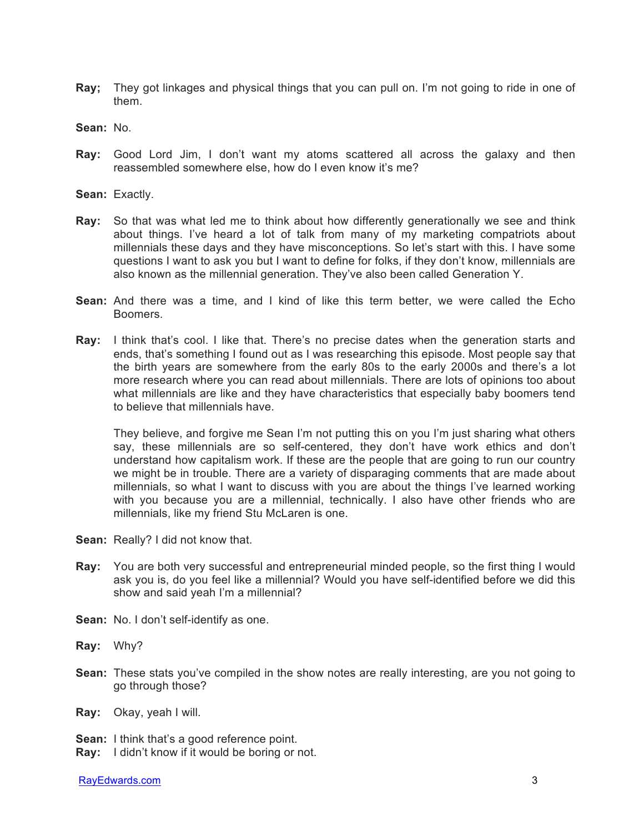- **Ray;** They got linkages and physical things that you can pull on. I'm not going to ride in one of them.
- **Sean:** No.
- **Ray:** Good Lord Jim, I don't want my atoms scattered all across the galaxy and then reassembled somewhere else, how do I even know it's me?
- **Sean:** Exactly.
- **Ray:** So that was what led me to think about how differently generationally we see and think about things. I've heard a lot of talk from many of my marketing compatriots about millennials these days and they have misconceptions. So let's start with this. I have some questions I want to ask you but I want to define for folks, if they don't know, millennials are also known as the millennial generation. They've also been called Generation Y.
- **Sean:** And there was a time, and I kind of like this term better, we were called the Echo Boomers.
- **Ray:** I think that's cool. I like that. There's no precise dates when the generation starts and ends, that's something I found out as I was researching this episode. Most people say that the birth years are somewhere from the early 80s to the early 2000s and there's a lot more research where you can read about millennials. There are lots of opinions too about what millennials are like and they have characteristics that especially baby boomers tend to believe that millennials have.

They believe, and forgive me Sean I'm not putting this on you I'm just sharing what others say, these millennials are so self-centered, they don't have work ethics and don't understand how capitalism work. If these are the people that are going to run our country we might be in trouble. There are a variety of disparaging comments that are made about millennials, so what I want to discuss with you are about the things I've learned working with you because you are a millennial, technically. I also have other friends who are millennials, like my friend Stu McLaren is one.

- Sean: Really? I did not know that.
- **Ray:** You are both very successful and entrepreneurial minded people, so the first thing I would ask you is, do you feel like a millennial? Would you have self-identified before we did this show and said yeah I'm a millennial?
- **Sean:** No. I don't self-identify as one.
- **Ray:** Why?
- **Sean:** These stats you've compiled in the show notes are really interesting, are you not going to go through those?

**Ray:** Okay, yeah I will.

- **Sean:** I think that's a good reference point.
- **Ray:** I didn't know if it would be boring or not.

RayEdwards.com 3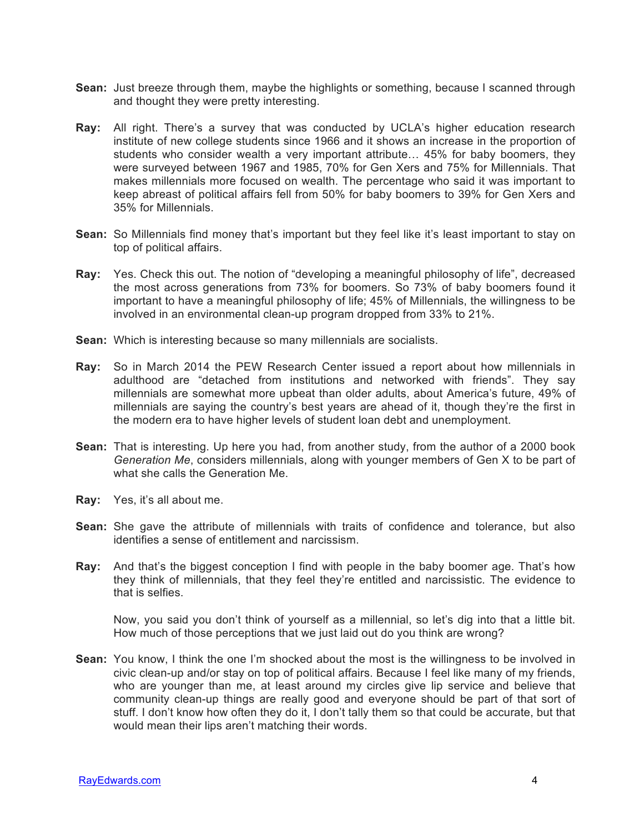- **Sean:** Just breeze through them, maybe the highlights or something, because I scanned through and thought they were pretty interesting.
- **Ray:** All right. There's a survey that was conducted by UCLA's higher education research institute of new college students since 1966 and it shows an increase in the proportion of students who consider wealth a very important attribute… 45% for baby boomers, they were surveyed between 1967 and 1985, 70% for Gen Xers and 75% for Millennials. That makes millennials more focused on wealth. The percentage who said it was important to keep abreast of political affairs fell from 50% for baby boomers to 39% for Gen Xers and 35% for Millennials.
- **Sean:** So Millennials find money that's important but they feel like it's least important to stay on top of political affairs.
- **Ray:** Yes. Check this out. The notion of "developing a meaningful philosophy of life", decreased the most across generations from 73% for boomers. So 73% of baby boomers found it important to have a meaningful philosophy of life; 45% of Millennials, the willingness to be involved in an environmental clean-up program dropped from 33% to 21%.
- **Sean:** Which is interesting because so many millennials are socialists.
- **Ray:** So in March 2014 the PEW Research Center issued a report about how millennials in adulthood are "detached from institutions and networked with friends". They say millennials are somewhat more upbeat than older adults, about America's future, 49% of millennials are saying the country's best years are ahead of it, though they're the first in the modern era to have higher levels of student loan debt and unemployment.
- **Sean:** That is interesting. Up here you had, from another study, from the author of a 2000 book *Generation Me*, considers millennials, along with younger members of Gen X to be part of what she calls the Generation Me.
- **Ray:** Yes, it's all about me.
- **Sean:** She gave the attribute of millennials with traits of confidence and tolerance, but also identifies a sense of entitlement and narcissism.
- **Ray:** And that's the biggest conception I find with people in the baby boomer age. That's how they think of millennials, that they feel they're entitled and narcissistic. The evidence to that is selfies.

Now, you said you don't think of yourself as a millennial, so let's dig into that a little bit. How much of those perceptions that we just laid out do you think are wrong?

**Sean:** You know, I think the one I'm shocked about the most is the willingness to be involved in civic clean-up and/or stay on top of political affairs. Because I feel like many of my friends, who are younger than me, at least around my circles give lip service and believe that community clean-up things are really good and everyone should be part of that sort of stuff. I don't know how often they do it, I don't tally them so that could be accurate, but that would mean their lips aren't matching their words.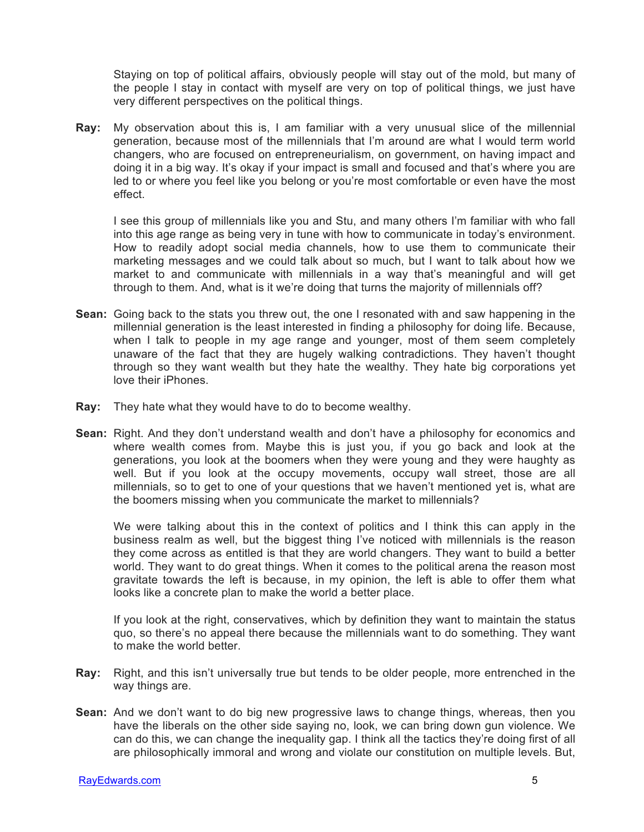Staying on top of political affairs, obviously people will stay out of the mold, but many of the people I stay in contact with myself are very on top of political things, we just have very different perspectives on the political things.

**Ray:** My observation about this is, I am familiar with a very unusual slice of the millennial generation, because most of the millennials that I'm around are what I would term world changers, who are focused on entrepreneurialism, on government, on having impact and doing it in a big way. It's okay if your impact is small and focused and that's where you are led to or where you feel like you belong or you're most comfortable or even have the most effect.

I see this group of millennials like you and Stu, and many others I'm familiar with who fall into this age range as being very in tune with how to communicate in today's environment. How to readily adopt social media channels, how to use them to communicate their marketing messages and we could talk about so much, but I want to talk about how we market to and communicate with millennials in a way that's meaningful and will get through to them. And, what is it we're doing that turns the majority of millennials off?

- **Sean:** Going back to the stats you threw out, the one I resonated with and saw happening in the millennial generation is the least interested in finding a philosophy for doing life. Because, when I talk to people in my age range and younger, most of them seem completely unaware of the fact that they are hugely walking contradictions. They haven't thought through so they want wealth but they hate the wealthy. They hate big corporations yet love their iPhones.
- **Ray:** They hate what they would have to do to become wealthy.
- **Sean:** Right. And they don't understand wealth and don't have a philosophy for economics and where wealth comes from. Maybe this is just you, if you go back and look at the generations, you look at the boomers when they were young and they were haughty as well. But if you look at the occupy movements, occupy wall street, those are all millennials, so to get to one of your questions that we haven't mentioned yet is, what are the boomers missing when you communicate the market to millennials?

We were talking about this in the context of politics and I think this can apply in the business realm as well, but the biggest thing I've noticed with millennials is the reason they come across as entitled is that they are world changers. They want to build a better world. They want to do great things. When it comes to the political arena the reason most gravitate towards the left is because, in my opinion, the left is able to offer them what looks like a concrete plan to make the world a better place.

If you look at the right, conservatives, which by definition they want to maintain the status quo, so there's no appeal there because the millennials want to do something. They want to make the world better.

- **Ray:** Right, and this isn't universally true but tends to be older people, more entrenched in the way things are.
- **Sean:** And we don't want to do big new progressive laws to change things, whereas, then you have the liberals on the other side saying no, look, we can bring down gun violence. We can do this, we can change the inequality gap. I think all the tactics they're doing first of all are philosophically immoral and wrong and violate our constitution on multiple levels. But,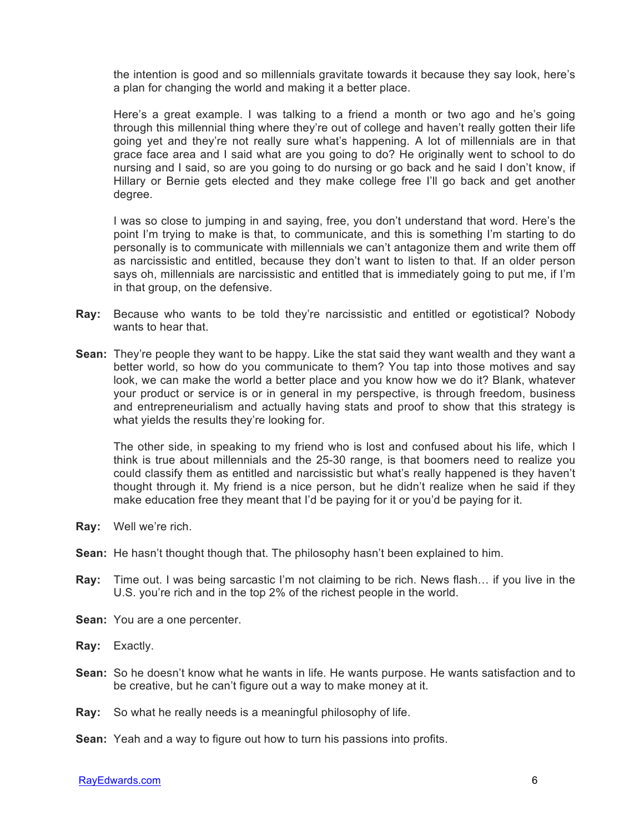the intention is good and so millennials gravitate towards it because they say look, here's a plan for changing the world and making it a better place.

Here's a great example. I was talking to a friend a month or two ago and he's going through this millennial thing where they're out of college and haven't really gotten their life going yet and they're not really sure what's happening. A lot of millennials are in that grace face area and I said what are you going to do? He originally went to school to do nursing and I said, so are you going to do nursing or go back and he said I don't know, if Hillary or Bernie gets elected and they make college free I'll go back and get another degree.

I was so close to jumping in and saying, free, you don't understand that word. Here's the point I'm trying to make is that, to communicate, and this is something I'm starting to do personally is to communicate with millennials we can't antagonize them and write them off as narcissistic and entitled, because they don't want to listen to that. If an older person says oh, millennials are narcissistic and entitled that is immediately going to put me, if I'm in that group, on the defensive.

- **Ray:** Because who wants to be told they're narcissistic and entitled or egotistical? Nobody wants to hear that.
- **Sean:** They're people they want to be happy. Like the stat said they want wealth and they want a better world, so how do you communicate to them? You tap into those motives and say look, we can make the world a better place and you know how we do it? Blank, whatever your product or service is or in general in my perspective, is through freedom, business and entrepreneurialism and actually having stats and proof to show that this strategy is what yields the results they're looking for.

The other side, in speaking to my friend who is lost and confused about his life, which I think is true about millennials and the 25-30 range, is that boomers need to realize you could classify them as entitled and narcissistic but what's really happened is they haven't thought through it. My friend is a nice person, but he didn't realize when he said if they make education free they meant that I'd be paying for it or you'd be paying for it.

- **Ray:** Well we're rich.
- **Sean:** He hasn't thought though that. The philosophy hasn't been explained to him.
- **Ray:** Time out. I was being sarcastic I'm not claiming to be rich. News flash… if you live in the U.S. you're rich and in the top 2% of the richest people in the world.
- **Sean:** You are a one percenter.
- **Ray:** Exactly.
- **Sean:** So he doesn't know what he wants in life. He wants purpose. He wants satisfaction and to be creative, but he can't figure out a way to make money at it.
- **Ray:** So what he really needs is a meaningful philosophy of life.
- **Sean:** Yeah and a way to figure out how to turn his passions into profits.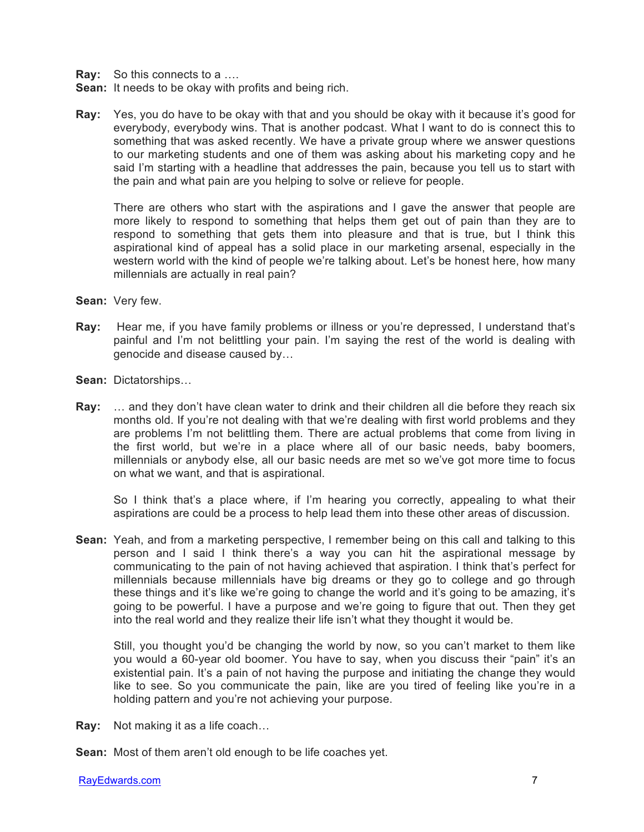**Ray:** So this connects to a ….

- **Sean:** It needs to be okay with profits and being rich.
- **Ray:** Yes, you do have to be okay with that and you should be okay with it because it's good for everybody, everybody wins. That is another podcast. What I want to do is connect this to something that was asked recently. We have a private group where we answer questions to our marketing students and one of them was asking about his marketing copy and he said I'm starting with a headline that addresses the pain, because you tell us to start with the pain and what pain are you helping to solve or relieve for people.

There are others who start with the aspirations and I gave the answer that people are more likely to respond to something that helps them get out of pain than they are to respond to something that gets them into pleasure and that is true, but I think this aspirational kind of appeal has a solid place in our marketing arsenal, especially in the western world with the kind of people we're talking about. Let's be honest here, how many millennials are actually in real pain?

- **Sean:** Very few.
- **Ray:** Hear me, if you have family problems or illness or you're depressed, I understand that's painful and I'm not belittling your pain. I'm saying the rest of the world is dealing with genocide and disease caused by…
- **Sean:** Dictatorships…
- **Ray:** … and they don't have clean water to drink and their children all die before they reach six months old. If you're not dealing with that we're dealing with first world problems and they are problems I'm not belittling them. There are actual problems that come from living in the first world, but we're in a place where all of our basic needs, baby boomers, millennials or anybody else, all our basic needs are met so we've got more time to focus on what we want, and that is aspirational.

So I think that's a place where, if I'm hearing you correctly, appealing to what their aspirations are could be a process to help lead them into these other areas of discussion.

**Sean:** Yeah, and from a marketing perspective, I remember being on this call and talking to this person and I said I think there's a way you can hit the aspirational message by communicating to the pain of not having achieved that aspiration. I think that's perfect for millennials because millennials have big dreams or they go to college and go through these things and it's like we're going to change the world and it's going to be amazing, it's going to be powerful. I have a purpose and we're going to figure that out. Then they get into the real world and they realize their life isn't what they thought it would be.

Still, you thought you'd be changing the world by now, so you can't market to them like you would a 60-year old boomer. You have to say, when you discuss their "pain" it's an existential pain. It's a pain of not having the purpose and initiating the change they would like to see. So you communicate the pain, like are you tired of feeling like you're in a holding pattern and you're not achieving your purpose.

**Ray:** Not making it as a life coach…

**Sean:** Most of them aren't old enough to be life coaches yet.

RayEdwards.com 7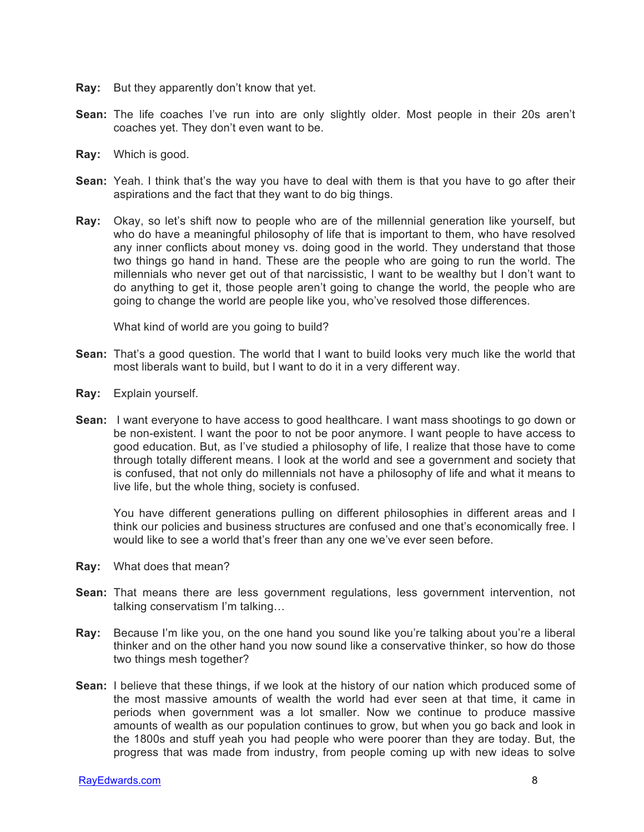- **Ray:** But they apparently don't know that yet.
- **Sean:** The life coaches I've run into are only slightly older. Most people in their 20s aren't coaches yet. They don't even want to be.
- **Ray:** Which is good.
- **Sean:** Yeah. I think that's the way you have to deal with them is that you have to go after their aspirations and the fact that they want to do big things.
- **Ray:** Okay, so let's shift now to people who are of the millennial generation like yourself, but who do have a meaningful philosophy of life that is important to them, who have resolved any inner conflicts about money vs. doing good in the world. They understand that those two things go hand in hand. These are the people who are going to run the world. The millennials who never get out of that narcissistic, I want to be wealthy but I don't want to do anything to get it, those people aren't going to change the world, the people who are going to change the world are people like you, who've resolved those differences.

What kind of world are you going to build?

- **Sean:** That's a good question. The world that I want to build looks very much like the world that most liberals want to build, but I want to do it in a very different way.
- **Ray:** Explain yourself.
- **Sean:** I want everyone to have access to good healthcare. I want mass shootings to go down or be non-existent. I want the poor to not be poor anymore. I want people to have access to good education. But, as I've studied a philosophy of life, I realize that those have to come through totally different means. I look at the world and see a government and society that is confused, that not only do millennials not have a philosophy of life and what it means to live life, but the whole thing, society is confused.

You have different generations pulling on different philosophies in different areas and I think our policies and business structures are confused and one that's economically free. I would like to see a world that's freer than any one we've ever seen before.

- **Ray:** What does that mean?
- **Sean:** That means there are less government regulations, less government intervention, not talking conservatism I'm talking…
- **Ray:** Because I'm like you, on the one hand you sound like you're talking about you're a liberal thinker and on the other hand you now sound like a conservative thinker, so how do those two things mesh together?
- **Sean:** I believe that these things, if we look at the history of our nation which produced some of the most massive amounts of wealth the world had ever seen at that time, it came in periods when government was a lot smaller. Now we continue to produce massive amounts of wealth as our population continues to grow, but when you go back and look in the 1800s and stuff yeah you had people who were poorer than they are today. But, the progress that was made from industry, from people coming up with new ideas to solve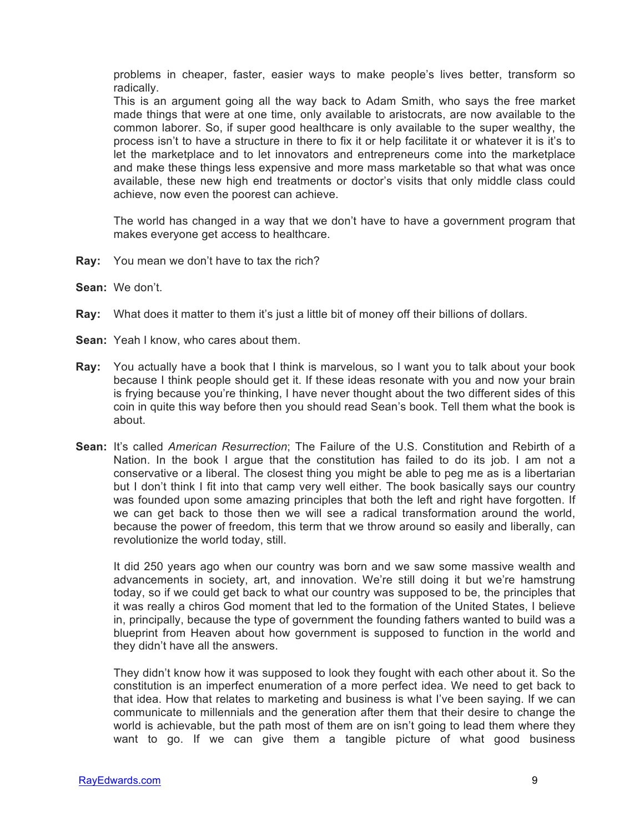problems in cheaper, faster, easier ways to make people's lives better, transform so radically.

This is an argument going all the way back to Adam Smith, who says the free market made things that were at one time, only available to aristocrats, are now available to the common laborer. So, if super good healthcare is only available to the super wealthy, the process isn't to have a structure in there to fix it or help facilitate it or whatever it is it's to let the marketplace and to let innovators and entrepreneurs come into the marketplace and make these things less expensive and more mass marketable so that what was once available, these new high end treatments or doctor's visits that only middle class could achieve, now even the poorest can achieve.

The world has changed in a way that we don't have to have a government program that makes everyone get access to healthcare.

- **Ray:** You mean we don't have to tax the rich?
- **Sean:** We don't.
- **Ray:** What does it matter to them it's just a little bit of money off their billions of dollars.
- **Sean:** Yeah I know, who cares about them.
- **Ray:** You actually have a book that I think is marvelous, so I want you to talk about your book because I think people should get it. If these ideas resonate with you and now your brain is frying because you're thinking, I have never thought about the two different sides of this coin in quite this way before then you should read Sean's book. Tell them what the book is about.
- **Sean:** It's called *American Resurrection*; The Failure of the U.S. Constitution and Rebirth of a Nation. In the book I argue that the constitution has failed to do its job. I am not a conservative or a liberal. The closest thing you might be able to peg me as is a libertarian but I don't think I fit into that camp very well either. The book basically says our country was founded upon some amazing principles that both the left and right have forgotten. If we can get back to those then we will see a radical transformation around the world, because the power of freedom, this term that we throw around so easily and liberally, can revolutionize the world today, still.

It did 250 years ago when our country was born and we saw some massive wealth and advancements in society, art, and innovation. We're still doing it but we're hamstrung today, so if we could get back to what our country was supposed to be, the principles that it was really a chiros God moment that led to the formation of the United States, I believe in, principally, because the type of government the founding fathers wanted to build was a blueprint from Heaven about how government is supposed to function in the world and they didn't have all the answers.

They didn't know how it was supposed to look they fought with each other about it. So the constitution is an imperfect enumeration of a more perfect idea. We need to get back to that idea. How that relates to marketing and business is what I've been saying. If we can communicate to millennials and the generation after them that their desire to change the world is achievable, but the path most of them are on isn't going to lead them where they want to go. If we can give them a tangible picture of what good business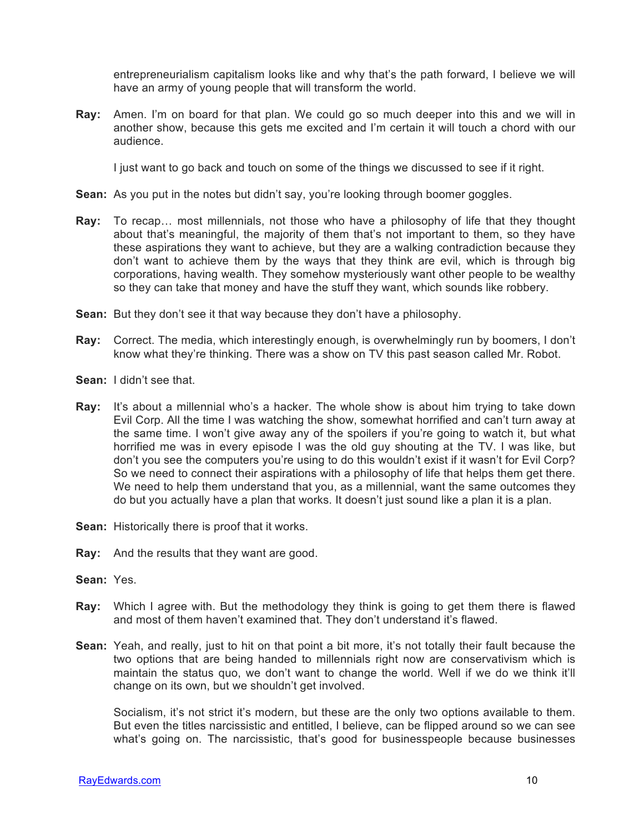entrepreneurialism capitalism looks like and why that's the path forward, I believe we will have an army of young people that will transform the world.

**Ray:** Amen. I'm on board for that plan. We could go so much deeper into this and we will in another show, because this gets me excited and I'm certain it will touch a chord with our audience.

I just want to go back and touch on some of the things we discussed to see if it right.

- **Sean:** As you put in the notes but didn't say, you're looking through boomer goggles.
- **Ray:** To recap… most millennials, not those who have a philosophy of life that they thought about that's meaningful, the majority of them that's not important to them, so they have these aspirations they want to achieve, but they are a walking contradiction because they don't want to achieve them by the ways that they think are evil, which is through big corporations, having wealth. They somehow mysteriously want other people to be wealthy so they can take that money and have the stuff they want, which sounds like robbery.
- **Sean:** But they don't see it that way because they don't have a philosophy.
- **Ray:** Correct. The media, which interestingly enough, is overwhelmingly run by boomers, I don't know what they're thinking. There was a show on TV this past season called Mr. Robot.
- **Sean:** I didn't see that.
- **Ray:** It's about a millennial who's a hacker. The whole show is about him trying to take down Evil Corp. All the time I was watching the show, somewhat horrified and can't turn away at the same time. I won't give away any of the spoilers if you're going to watch it, but what horrified me was in every episode I was the old guy shouting at the TV. I was like, but don't you see the computers you're using to do this wouldn't exist if it wasn't for Evil Corp? So we need to connect their aspirations with a philosophy of life that helps them get there. We need to help them understand that you, as a millennial, want the same outcomes they do but you actually have a plan that works. It doesn't just sound like a plan it is a plan.
- **Sean:** Historically there is proof that it works.
- **Ray:** And the results that they want are good.
- **Sean:** Yes.
- **Ray:** Which I agree with. But the methodology they think is going to get them there is flawed and most of them haven't examined that. They don't understand it's flawed.
- **Sean:** Yeah, and really, just to hit on that point a bit more, it's not totally their fault because the two options that are being handed to millennials right now are conservativism which is maintain the status quo, we don't want to change the world. Well if we do we think it'll change on its own, but we shouldn't get involved.

Socialism, it's not strict it's modern, but these are the only two options available to them. But even the titles narcissistic and entitled, I believe, can be flipped around so we can see what's going on. The narcissistic, that's good for businesspeople because businesses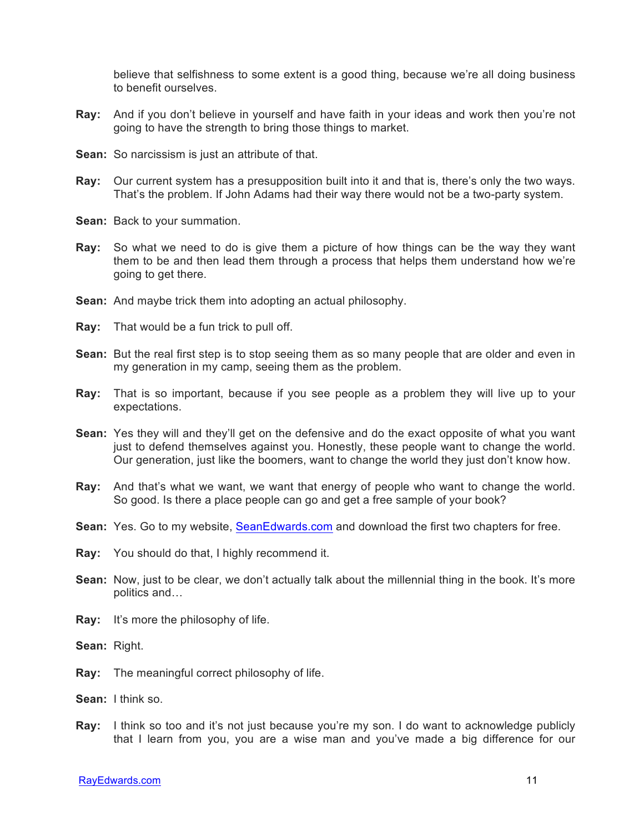believe that selfishness to some extent is a good thing, because we're all doing business to benefit ourselves.

- **Ray:** And if you don't believe in yourself and have faith in your ideas and work then you're not going to have the strength to bring those things to market.
- **Sean:** So narcissism is just an attribute of that.
- **Ray:** Our current system has a presupposition built into it and that is, there's only the two ways. That's the problem. If John Adams had their way there would not be a two-party system.
- **Sean:** Back to your summation.
- **Ray:** So what we need to do is give them a picture of how things can be the way they want them to be and then lead them through a process that helps them understand how we're going to get there.
- **Sean:** And maybe trick them into adopting an actual philosophy.
- **Ray:** That would be a fun trick to pull off.
- **Sean:** But the real first step is to stop seeing them as so many people that are older and even in my generation in my camp, seeing them as the problem.
- **Ray:** That is so important, because if you see people as a problem they will live up to your expectations.
- **Sean:** Yes they will and they'll get on the defensive and do the exact opposite of what you want just to defend themselves against you. Honestly, these people want to change the world. Our generation, just like the boomers, want to change the world they just don't know how.
- **Ray:** And that's what we want, we want that energy of people who want to change the world. So good. Is there a place people can go and get a free sample of your book?
- Sean: Yes. Go to my website, SeanEdwards.com and download the first two chapters for free.
- **Ray:** You should do that, I highly recommend it.
- **Sean:** Now, just to be clear, we don't actually talk about the millennial thing in the book. It's more politics and…
- **Ray:** It's more the philosophy of life.
- **Sean:** Right.
- **Ray:** The meaningful correct philosophy of life.
- **Sean:** I think so.
- **Ray:** I think so too and it's not just because you're my son. I do want to acknowledge publicly that I learn from you, you are a wise man and you've made a big difference for our